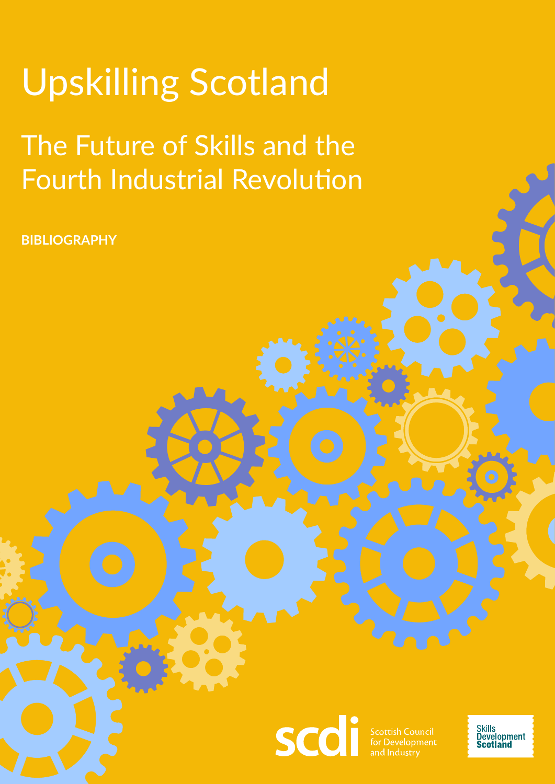## Upskilling Scotland

## The Future of Skills and the Fourth Industrial Revolution

**BIBLIOGRAPHY**

scdi

**Scottish Council<br>for Development** 

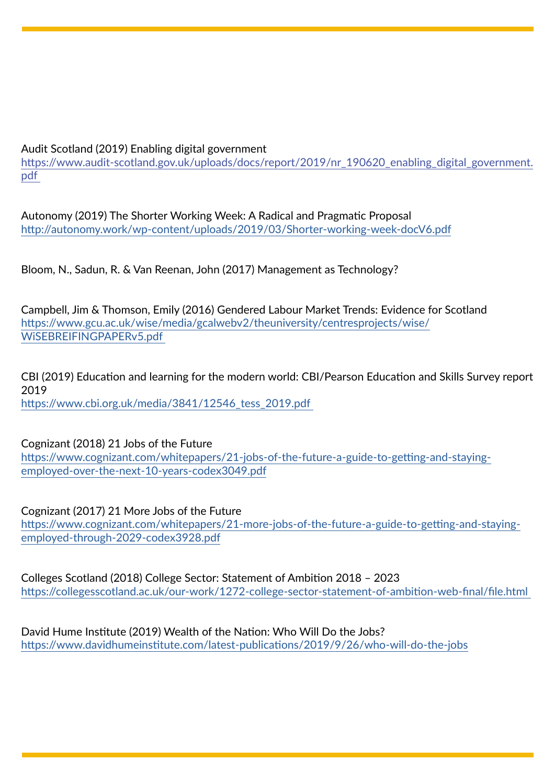## Audit Scotland (2019) Enabling digital government

[https://www.audit-scotland.gov.uk/uploads/docs/report/2019/nr\\_190620\\_enabling\\_digital\\_government.](https://www.audit-scotland.gov.uk/uploads/docs/report/2019/nr_190620_enabling_digital_government.pdf) [pdf](https://www.audit-scotland.gov.uk/uploads/docs/report/2019/nr_190620_enabling_digital_government.pdf) 

Autonomy (2019) The Shorter Working Week: A Radical and Pragmatic Proposal <http://autonomy.work/wp-content/uploads/2019/03/Shorter-working-week-docV6.pdf>

Bloom, N., Sadun, R. & Van Reenan, John (2017) Management as Technology?

Campbell, Jim & Thomson, Emily (2016) Gendered Labour Market Trends: Evidence for Scotland [https://www.gcu.ac.uk/wise/media/gcalwebv2/theuniversity/centresprojects/wise/](https://www.gcu.ac.uk/wise/media/gcalwebv2/theuniversity/centresprojects/wise/WiSEBREIFINGPAPERv5.pdf) [WiSEBREIFINGPAPERv5.pdf](https://www.gcu.ac.uk/wise/media/gcalwebv2/theuniversity/centresprojects/wise/WiSEBREIFINGPAPERv5.pdf) 

CBI (2019) Education and learning for the modern world: CBI/Pearson Education and Skills Survey report 2019 [https://www.cbi.org.uk/media/3841/12546\\_tess\\_2019.pdf](https://www.cbi.org.uk/media/3841/12546_tess_2019.pdf) 

Cognizant (2018) 21 Jobs of the Future [https://www.cognizant.com/whitepapers/21-jobs-of-the-future-a-guide-to-getting-and-staying](https://www.cognizant.com/whitepapers/21-jobs-of-the-future-a-guide-to-getting-and-staying-employed-over-the-next-10-years-codex3049.pdf)[employed-over-the-next-10-years-codex3049.pdf](https://www.cognizant.com/whitepapers/21-jobs-of-the-future-a-guide-to-getting-and-staying-employed-over-the-next-10-years-codex3049.pdf)

Cognizant (2017) 21 More Jobs of the Future [https://www.cognizant.com/whitepapers/21-more-jobs-of-the-future-a-guide-to-getting-and-staying](https://www.cognizant.com/whitepapers/21-more-jobs-of-the-future-a-guide-to-getting-and-staying-employed-through-2029-codex3928.pdf)[employed-through-2029-codex3928.pdf](https://www.cognizant.com/whitepapers/21-more-jobs-of-the-future-a-guide-to-getting-and-staying-employed-through-2029-codex3928.pdf)

Colleges Scotland (2018) College Sector: Statement of Ambition 2018 – 2023 <https://collegesscotland.ac.uk/our-work/1272-college-sector-statement-of-ambition-web-final/file.html>

David Hume Institute (2019) Wealth of the Nation: Who Will Do the Jobs? <https://www.davidhumeinstitute.com/latest-publications/2019/9/26/who-will-do-the-jobs>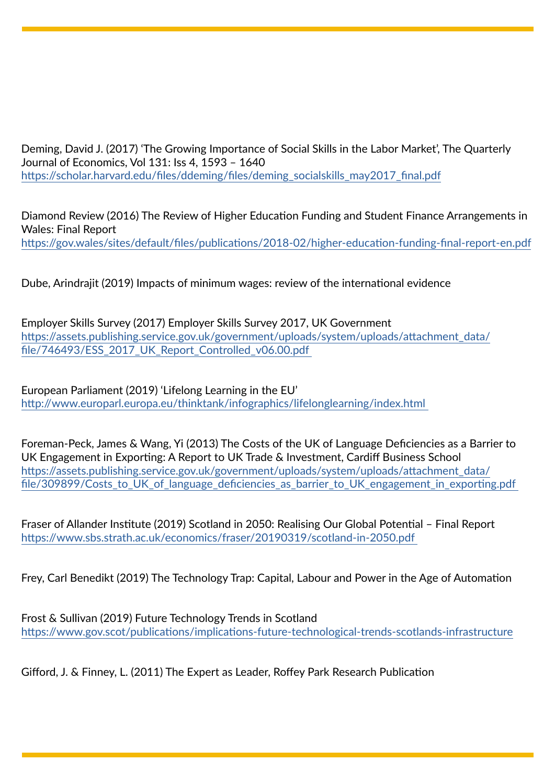Deming, David J. (2017) 'The Growing Importance of Social Skills in the Labor Market', The Quarterly Journal of Economics, Vol 131: Iss 4, 1593 – 1640 [https://scholar.harvard.edu/files/ddeming/files/deming\\_socialskills\\_may2017\\_final.pdf](https://scholar.harvard.edu/files/ddeming/files/deming_socialskills_may2017_final.pdf)

Diamond Review (2016) The Review of Higher Education Funding and Student Finance Arrangements in Wales: Final Report <https://gov.wales/sites/default/files/publications/2018-02/higher-education-funding-final-report-en.pdf>

Dube, Arindrajit (2019) Impacts of minimum wages: review of the international evidence

Employer Skills Survey (2017) Employer Skills Survey 2017, UK Government [https://assets.publishing.service.gov.uk/government/uploads/system/uploads/attachment\\_data/](https://assets.publishing.service.gov.uk/government/uploads/system/uploads/attachment_data/file/746493/ESS_2017_UK_Report_Controlled_v06.00.pdf) [file/746493/ESS\\_2017\\_UK\\_Report\\_Controlled\\_v06.00.pdf](https://assets.publishing.service.gov.uk/government/uploads/system/uploads/attachment_data/file/746493/ESS_2017_UK_Report_Controlled_v06.00.pdf) 

European Parliament (2019) 'Lifelong Learning in the EU' <http://www.europarl.europa.eu/thinktank/infographics/lifelonglearning/index.html>

Foreman-Peck, James & Wang, Yi (2013) The Costs of the UK of Language Deficiencies as a Barrier to UK Engagement in Exporting: A Report to UK Trade & Investment, Cardiff Business School [https://assets.publishing.service.gov.uk/government/uploads/system/uploads/attachment\\_data/](https://assets.publishing.service.gov.uk/government/uploads/system/uploads/attachment_data/file/309899/Costs_to_UK_of_language_deficiencies_as_barrier_to_UK_engagement_in_exporting.pdf) file/309899/Costs\_to\_UK\_of\_language\_deficiencies\_as\_barrier\_to\_UK\_engagement\_in\_exporting.pdf

Fraser of Allander Institute (2019) Scotland in 2050: Realising Our Global Potential – Final Report <https://www.sbs.strath.ac.uk/economics/fraser/20190319/scotland-in-2050.pdf>

Frey, Carl Benedikt (2019) The Technology Trap: Capital, Labour and Power in the Age of Automation

Frost & Sullivan (2019) Future Technology Trends in Scotland <https://www.gov.scot/publications/implications-future-technological-trends-scotlands-infrastructure>

Gifford, J. & Finney, L. (2011) The Expert as Leader, Roffey Park Research Publication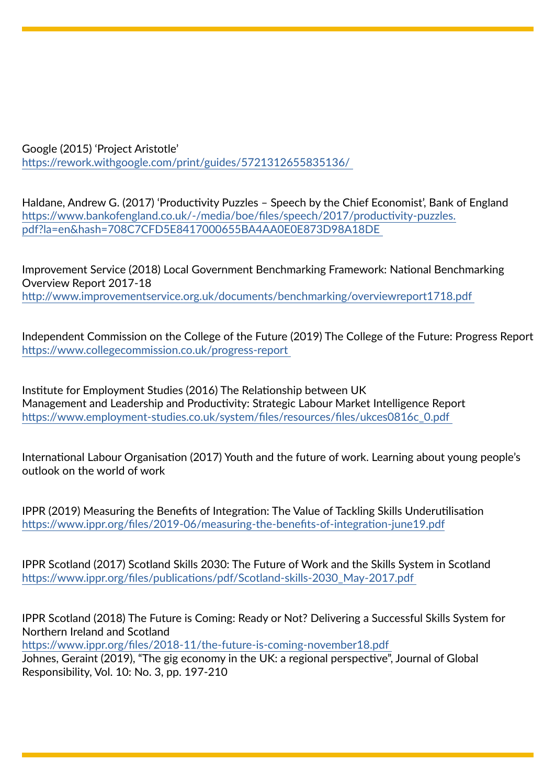Google (2015) 'Project Aristotle' <https://rework.withgoogle.com/print/guides/5721312655835136/>

Haldane, Andrew G. (2017) 'Productivity Puzzles – Speech by the Chief Economist', Bank of England [https://www.bankofengland.co.uk/-/media/boe/files/speech/2017/productivity-puzzles.](https://www.bankofengland.co.uk/-/media/boe/files/speech/2017/productivity-puzzles.pdf?la=en&hash=708C7CFD5E8417000655BA4AA0E0E873D98A18DE) [pdf?la=en&hash=708C7CFD5E8417000655BA4AA0E0E873D98A18DE](https://www.bankofengland.co.uk/-/media/boe/files/speech/2017/productivity-puzzles.pdf?la=en&hash=708C7CFD5E8417000655BA4AA0E0E873D98A18DE) 

Improvement Service (2018) Local Government Benchmarking Framework: National Benchmarking Overview Report 2017-18 <http://www.improvementservice.org.uk/documents/benchmarking/overviewreport1718.pdf>

Independent Commission on the College of the Future (2019) The College of the Future: Progress Report <https://www.collegecommission.co.uk/progress-report>

Institute for Employment Studies (2016) The Relationship between UK Management and Leadership and Productivity: Strategic Labour Market Intelligence Report [https://www.employment-studies.co.uk/system/files/resources/files/ukces0816c\\_0.pdf](https://www.employment-studies.co.uk/system/files/resources/files/ukces0816c_0.pdf) 

International Labour Organisation (2017) Youth and the future of work. Learning about young people's outlook on the world of work

IPPR (2019) Measuring the Benefits of Integration: The Value of Tackling Skills Underutilisation <https://www.ippr.org/files/2019-06/measuring-the-benefits-of-integration-june19.pdf>

IPPR Scotland (2017) Scotland Skills 2030: The Future of Work and the Skills System in Scotland [https://www.ippr.org/files/publications/pdf/Scotland-skills-2030\\_May-2017.pdf](https://www.ippr.org/files/publications/pdf/Scotland-skills-2030_May-2017.pdf) 

IPPR Scotland (2018) The Future is Coming: Ready or Not? Delivering a Successful Skills System for Northern Ireland and Scotland

<https://www.ippr.org/files/2018-11/the-future-is-coming-november18.pdf> Johnes, Geraint (2019), "The gig economy in the UK: a regional perspective", Journal of Global Responsibility, Vol. 10: No. 3, pp. 197-210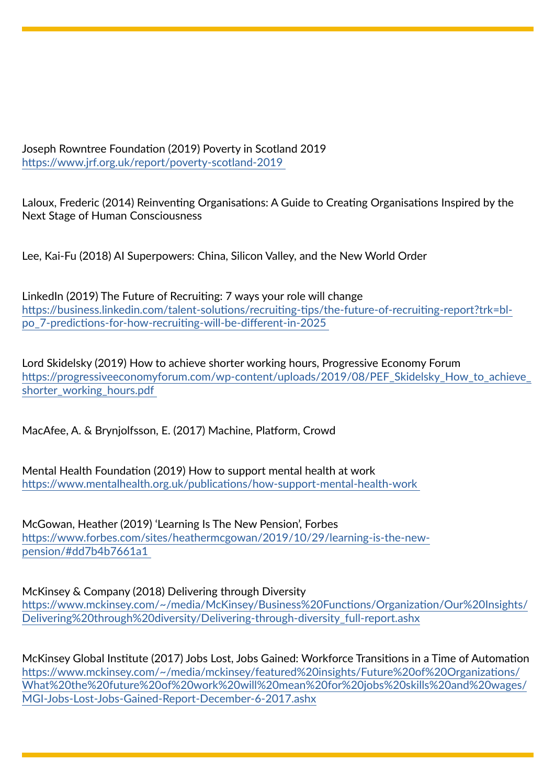Joseph Rowntree Foundation (2019) Poverty in Scotland 2019 <https://www.jrf.org.uk/report/poverty-scotland-2019>

Laloux, Frederic (2014) Reinventing Organisations: A Guide to Creating Organisations Inspired by the Next Stage of Human Consciousness

Lee, Kai-Fu (2018) AI Superpowers: China, Silicon Valley, and the New World Order

LinkedIn (2019) The Future of Recruiting: 7 ways your role will change [https://business.linkedin.com/talent-solutions/recruiting-tips/the-future-of-recruiting-report?trk=bl](https://business.linkedin.com/talent-solutions/recruiting-tips/the-future-of-recruiting-report?trk=bl-po_7-predictions-for-how-recruiting-will-be-different-in-2025)[po\\_7-predictions-for-how-recruiting-will-be-different-in-2025](https://business.linkedin.com/talent-solutions/recruiting-tips/the-future-of-recruiting-report?trk=bl-po_7-predictions-for-how-recruiting-will-be-different-in-2025) 

Lord Skidelsky (2019) How to achieve shorter working hours, Progressive Economy Forum [https://progressiveeconomyforum.com/wp-content/uploads/2019/08/PEF\\_Skidelsky\\_How\\_to\\_achieve\\_](https://progressiveeconomyforum.com/wp-content/uploads/2019/08/PEF_Skidelsky_How_to_achieve_shorter_working_hours.pdf) [shorter\\_working\\_hours.pdf](https://progressiveeconomyforum.com/wp-content/uploads/2019/08/PEF_Skidelsky_How_to_achieve_shorter_working_hours.pdf) 

MacAfee, A. & Brynjolfsson, E. (2017) Machine, Platform, Crowd

Mental Health Foundation (2019) How to support mental health at work <https://www.mentalhealth.org.uk/publications/how-support-mental-health-work>

McGowan, Heather (2019) 'Learning Is The New Pension', Forbes [https://www.forbes.com/sites/heathermcgowan/2019/10/29/learning-is-the-new](https://www.forbes.com/sites/heathermcgowan/2019/10/29/learning-is-the-new-pension/#dd7b4b7661a1)[pension/#dd7b4b7661a1](https://www.forbes.com/sites/heathermcgowan/2019/10/29/learning-is-the-new-pension/#dd7b4b7661a1) 

McKinsey & Company (2018) Delivering through Diversity

[https://www.mckinsey.com/~/media/McKinsey/Business%20Functions/Organization/Our%20Insights/](https://www.mckinsey.com/~/media/McKinsey/Business%20Functions/Organization/Our%20Insights/Delivering%20through%20diversity/Delivering-through-diversity_full-report.ashx) [Delivering%20through%20diversity/Delivering-through-diversity\\_full-report.ashx](https://www.mckinsey.com/~/media/McKinsey/Business%20Functions/Organization/Our%20Insights/Delivering%20through%20diversity/Delivering-through-diversity_full-report.ashx)

McKinsey Global Institute (2017) Jobs Lost, Jobs Gained: Workforce Transitions in a Time of Automation [https://www.mckinsey.com/~/media/mckinsey/featured%20insights/Future%20of%20Organizations/](https://www.mckinsey.com/~/media/mckinsey/featured%20insights/Future%20of%20Organizations/What%20the%20future%20of%20work%20will%20mean%20for%20jobs%20skills%20and%20wages/MGI-Jobs-Lost-Jobs-Gained-Report-December-6-2017.ashx) [What%20the%20future%20of%20work%20will%20mean%20for%20jobs%20skills%20and%20wages/](https://www.mckinsey.com/~/media/mckinsey/featured%20insights/Future%20of%20Organizations/What%20the%20future%20of%20work%20will%20mean%20for%20jobs%20skills%20and%20wages/MGI-Jobs-Lost-Jobs-Gained-Report-December-6-2017.ashx) [MGI-Jobs-Lost-Jobs-Gained-Report-December-6-2017.ashx](https://www.mckinsey.com/~/media/mckinsey/featured%20insights/Future%20of%20Organizations/What%20the%20future%20of%20work%20will%20mean%20for%20jobs%20skills%20and%20wages/MGI-Jobs-Lost-Jobs-Gained-Report-December-6-2017.ashx)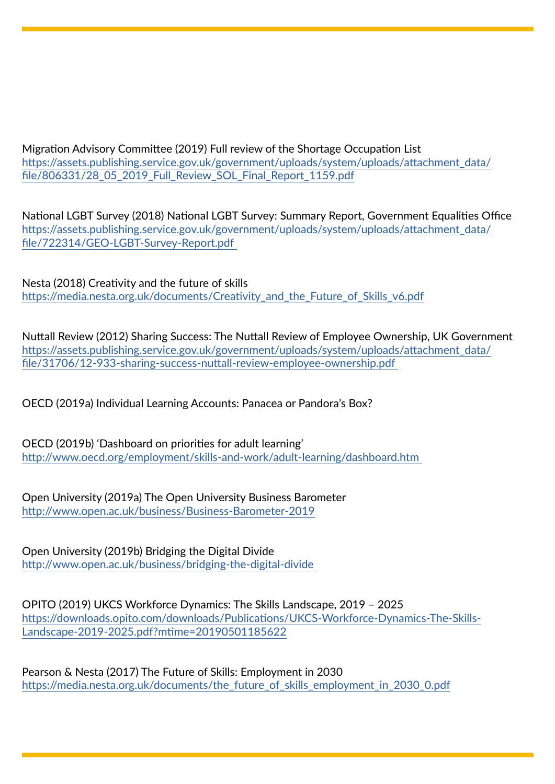Migration Advisory Committee (2019) Full review of the Shortage Occupation List [https://assets.publishing.service.gov.uk/government/uploads/system/uploads/attachment\\_data/](https://assets.publishing.service.gov.uk/government/uploads/system/uploads/attachment_data/file/806331/28_05_2019_Full_Review_SOL_Final_Report_1159.pdf) [file/806331/28\\_05\\_2019\\_Full\\_Review\\_SOL\\_Final\\_Report\\_1159.pdf](https://assets.publishing.service.gov.uk/government/uploads/system/uploads/attachment_data/file/806331/28_05_2019_Full_Review_SOL_Final_Report_1159.pdf)

National LGBT Survey (2018) National LGBT Survey: Summary Report, Government Equalities Office [https://assets.publishing.service.gov.uk/government/uploads/system/uploads/attachment\\_data/](https://assets.publishing.service.gov.uk/government/uploads/system/uploads/attachment_data/file/722314/GEO-LGBT-Survey-Report.pdf) [file/722314/GEO-LGBT-Survey-Report.pdf](https://assets.publishing.service.gov.uk/government/uploads/system/uploads/attachment_data/file/722314/GEO-LGBT-Survey-Report.pdf) 

Nesta (2018) Creativity and the future of skills [https://media.nesta.org.uk/documents/Creativity\\_and\\_the\\_Future\\_of\\_Skills\\_v6.pdf](https://media.nesta.org.uk/documents/Creativity_and_the_Future_of_Skills_v6.pdf)

Nuttall Review (2012) Sharing Success: The Nuttall Review of Employee Ownership, UK Government [https://assets.publishing.service.gov.uk/government/uploads/system/uploads/attachment\\_data/](https://assets.publishing.service.gov.uk/government/uploads/system/uploads/attachment_data/file/31706/12-933-sharing-success-nuttall-review-employee-ownership.pdf) [file/31706/12-933-sharing-success-nuttall-review-employee-ownership.pdf](https://assets.publishing.service.gov.uk/government/uploads/system/uploads/attachment_data/file/31706/12-933-sharing-success-nuttall-review-employee-ownership.pdf) 

OECD (2019a) Individual Learning Accounts: Panacea or Pandora's Box?

OECD (2019b) 'Dashboard on priorities for adult learning' <http://www.oecd.org/employment/skills-and-work/adult-learning/dashboard.htm>

Open University (2019a) The Open University Business Barometer <http://www.open.ac.uk/business/Business-Barometer-2019>

Open University (2019b) Bridging the Digital Divide <http://www.open.ac.uk/business/bridging-the-digital-divide>

OPITO (2019) UKCS Workforce Dynamics: The Skills Landscape, 2019 – 2025 [https://downloads.opito.com/downloads/Publications/UKCS-Workforce-Dynamics-The-Skills-](https://downloads.opito.com/downloads/Publications/UKCS-Workforce-Dynamics-The-Skills-Landscape-2019-2025.pdf?mtime=20190501185622)[Landscape-2019-2025.pdf?mtime=20190501185622](https://downloads.opito.com/downloads/Publications/UKCS-Workforce-Dynamics-The-Skills-Landscape-2019-2025.pdf?mtime=20190501185622)

Pearson & Nesta (2017) The Future of Skills: Employment in 2030 [https://media.nesta.org.uk/documents/the\\_future\\_of\\_skills\\_employment\\_in\\_2030\\_0.pdf](https://media.nesta.org.uk/documents/the_future_of_skills_employment_in_2030_0.pdf)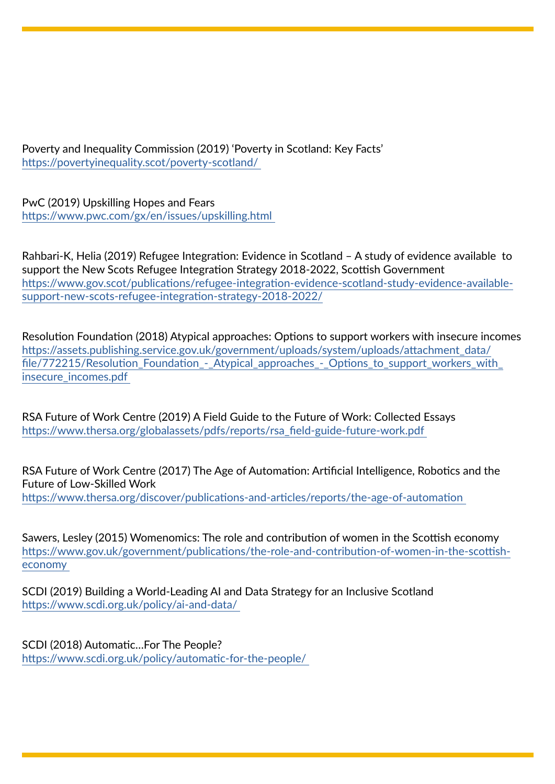Poverty and Inequality Commission (2019) 'Poverty in Scotland: Key Facts' <https://povertyinequality.scot/poverty-scotland/>

PwC (2019) Upskilling Hopes and Fears <https://www.pwc.com/gx/en/issues/upskilling.html>

Rahbari-K, Helia (2019) Refugee Integration: Evidence in Scotland – A study of evidence available to support the New Scots Refugee Integration Strategy 2018-2022, Scottish Government [https://www.gov.scot/publications/refugee-integration-evidence-scotland-study-evidence-available](https://www.gov.scot/publications/refugee-integration-evidence-scotland-study-evidence-available-support-new-scots-refugee-integration-strategy-2018-2022/)[support-new-scots-refugee-integration-strategy-2018-2022/](https://www.gov.scot/publications/refugee-integration-evidence-scotland-study-evidence-available-support-new-scots-refugee-integration-strategy-2018-2022/)

Resolution Foundation (2018) Atypical approaches: Options to support workers with insecure incomes [https://assets.publishing.service.gov.uk/government/uploads/system/uploads/attachment\\_data/](https://assets.publishing.service.gov.uk/government/uploads/system/uploads/attachment_data/file/772215/Resolution_Foundation_-_Atypical_approaches_-_Options_to_support_workers_with_insecure_incomes.pdf) [file/772215/Resolution\\_Foundation\\_-\\_Atypical\\_approaches\\_-\\_Options\\_to\\_support\\_workers\\_with\\_](https://assets.publishing.service.gov.uk/government/uploads/system/uploads/attachment_data/file/772215/Resolution_Foundation_-_Atypical_approaches_-_Options_to_support_workers_with_insecure_incomes.pdf) [insecure\\_incomes.pdf](https://assets.publishing.service.gov.uk/government/uploads/system/uploads/attachment_data/file/772215/Resolution_Foundation_-_Atypical_approaches_-_Options_to_support_workers_with_insecure_incomes.pdf) 

RSA Future of Work Centre (2019) A Field Guide to the Future of Work: Collected Essays [https://www.thersa.org/globalassets/pdfs/reports/rsa\\_field-guide-future-work.pdf](https://www.thersa.org/globalassets/pdfs/reports/rsa_field-guide-future-work.pdf) 

RSA Future of Work Centre (2017) The Age of Automation: Artificial Intelligence, Robotics and the Future of Low-Skilled Work <https://www.thersa.org/discover/publications-and-articles/reports/the-age-of-automation>

Sawers, Lesley (2015) Womenomics: The role and contribution of women in the Scottish economy [https://www.gov.uk/government/publications/the-role-and-contribution-of-women-in-the-scottish](https://www.gov.uk/government/publications/the-role-and-contribution-of-women-in-the-scottish-economy)[economy](https://www.gov.uk/government/publications/the-role-and-contribution-of-women-in-the-scottish-economy) 

SCDI (2019) Building a World-Leading AI and Data Strategy for an Inclusive Scotland <https://www.scdi.org.uk/policy/ai-and-data/>

SCDI (2018) Automatic…For The People? <https://www.scdi.org.uk/policy/automatic-for-the-people/>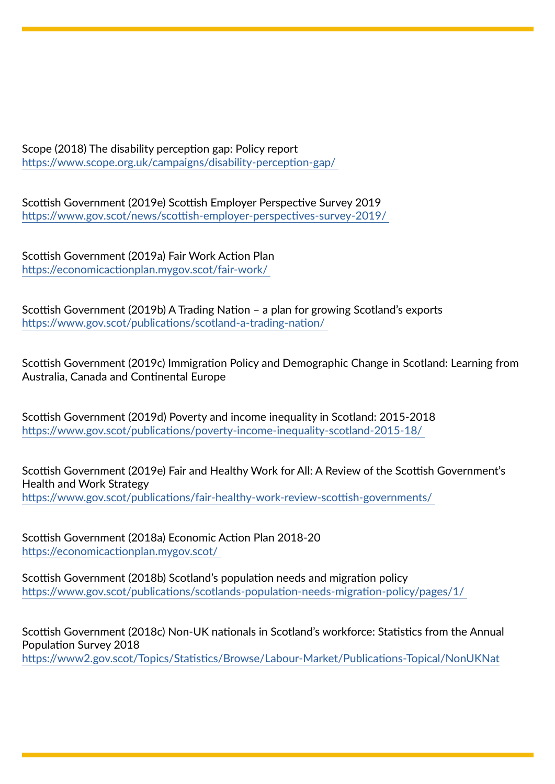Scope (2018) The disability perception gap: Policy report <https://www.scope.org.uk/campaigns/disability-perception-gap/>

Scottish Government (2019e) Scottish Employer Perspective Survey 2019 <https://www.gov.scot/news/scottish-employer-perspectives-survey-2019/>

Scottish Government (2019a) Fair Work Action Plan <https://economicactionplan.mygov.scot/fair-work/>

Scottish Government (2019b) A Trading Nation – a plan for growing Scotland's exports <https://www.gov.scot/publications/scotland-a-trading-nation/>

Scottish Government (2019c) Immigratio[n](https://www.gov.scot/publications/immigration-policy-demographic-change-scotland-learning-australia-canada-continental-europe/
) Policy and Demographic Change in Scotland: Learning from Australia, Canada and Continental Europe

Scottish Government (2019d) Poverty and income inequality in Scotland: 2015-2018 <https://www.gov.scot/publications/poverty-income-inequality-scotland-2015-18/>

Scottish Government (2019e) Fair and Healthy Work for All: A Review of the Scottish Government's Health and Work Strategy <https://www.gov.scot/publications/fair-healthy-work-review-scottish-governments/>

Scottish Government (2018a) Economic Action Plan 2018-20 <https://economicactionplan.mygov.scot/>

Scottish Government (2018b) Scotland's population needs and migration policy <https://www.gov.scot/publications/scotlands-population-needs-migration-policy/pages/1/>

Scottish Government (2018c) Non-UK nationals in Scotland's workforce: Statistics from the Annual Population Survey 2018 <https://www2.gov.scot/Topics/Statistics/Browse/Labour-Market/Publications-Topical/NonUKNat>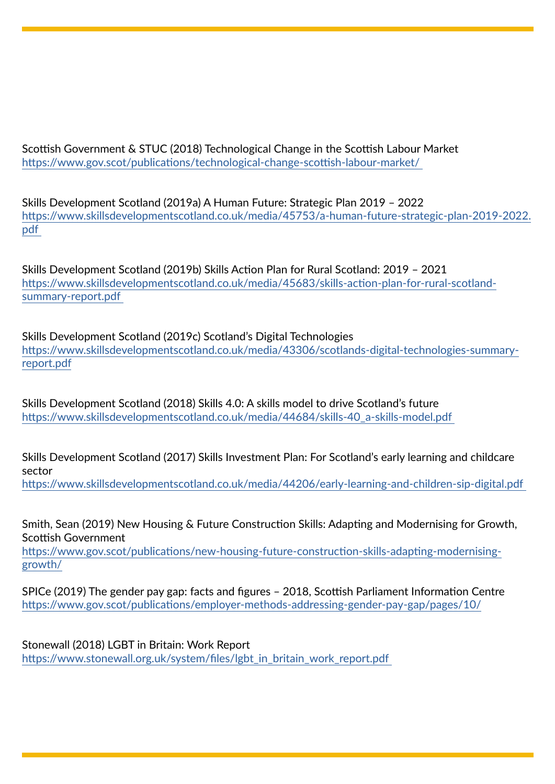Scottish Government & STUC (2018) Technological Change in the Scottish Labour Market <https://www.gov.scot/publications/technological-change-scottish-labour-market/>

Skills Development Scotland (2019a) A Human Future: Strategic Plan 2019 – 2022 [https://www.skillsdevelopmentscotland.co.uk/media/45753/a-human-future-strategic-plan-2019-2022.](https://www.skillsdevelopmentscotland.co.uk/media/45753/a-human-future-strategic-plan-2019-2022.pdf) [pdf](https://www.skillsdevelopmentscotland.co.uk/media/45753/a-human-future-strategic-plan-2019-2022.pdf) 

Skills Development Scotland (2019b) Skills Action Plan for Rural Scotland: 2019 – 2021 [https://www.skillsdevelopmentscotland.co.uk/media/45683/skills-action-plan-for-rural-scotland](https://www.skillsdevelopmentscotland.co.uk/media/45683/skills-action-plan-for-rural-scotland-summary-report.pdf)[summary-report.pdf](https://www.skillsdevelopmentscotland.co.uk/media/45683/skills-action-plan-for-rural-scotland-summary-report.pdf) 

Skills Development Scotland (2019c) Scotland's Digital Technologies [https://www.skillsdevelopmentscotland.co.uk/media/43306/scotlands-digital-technologies-summary](https://www.skillsdevelopmentscotland.co.uk/media/43306/scotlands-digital-technologies-summary-report.pdf)[report.pdf](https://www.skillsdevelopmentscotland.co.uk/media/43306/scotlands-digital-technologies-summary-report.pdf)

Skills Development Scotland (2018) Skills 4.0: A skills model to drive Scotland's future [https://www.skillsdevelopmentscotland.co.uk/media/44684/skills-40\\_a-skills-model.pdf](https://www.skillsdevelopmentscotland.co.uk/media/44684/skills-40_a-skills-model.pdf) 

Skills Development Scotland (2017) Skills Investment Plan: For Scotland's early learning and childcare sector

<https://www.skillsdevelopmentscotland.co.uk/media/44206/early-learning-and-children-sip-digital.pdf>

Smith, Sean (2019) New Housing & Future Construction Skills: Adapting and Modernising for Growth, Scottish Government

[https://www.gov.scot/publications/new-housing-future-construction-skills-adapting-modernising](https://www.gov.scot/publications/new-housing-future-construction-skills-adapting-modernising-growth/)[growth/](https://www.gov.scot/publications/new-housing-future-construction-skills-adapting-modernising-growth/)

SPICe (2019) The gender pay gap: facts and figures – 2018, Scottish Parliament Information Centre <https://www.gov.scot/publications/employer-methods-addressing-gender-pay-gap/pages/10/>

Stonewall (2018) LGBT in Britain: Work Report [https://www.stonewall.org.uk/system/files/lgbt\\_in\\_britain\\_work\\_report.pdf](https://www.stonewall.org.uk/system/files/lgbt_in_britain_work_report.pdf)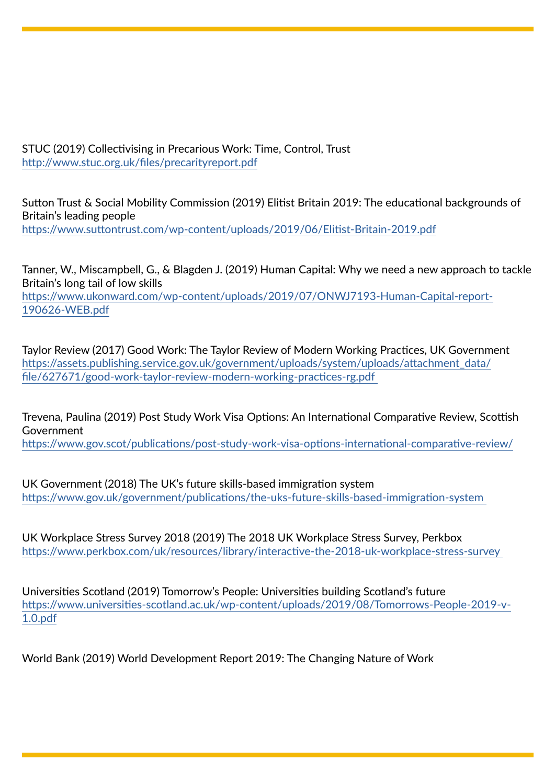STUC (2019) Collectivising in Precarious Work: Time, Control, Trust <http://www.stuc.org.uk/files/precarityreport.pdf>

Sutton Trust & Social Mobility Commission (2019) Elitist Britain 2019: The educational backgrounds of Britain's leading people <https://www.suttontrust.com/wp-content/uploads/2019/06/Elitist-Britain-2019.pdf>

Tanner, W., Miscampbell, G., & Blagden J. (2019) Human Capital: Why we need a new approach to tackle Britain's long tail of low skills [https://www.ukonward.com/wp-content/uploads/2019/07/ONWJ7193-Human-Capital-report-](https://www.ukonward.com/wp-content/uploads/2019/07/ONWJ7193-Human-Capital-report-190626-WEB.pdf)[190626-WEB.pdf](https://www.ukonward.com/wp-content/uploads/2019/07/ONWJ7193-Human-Capital-report-190626-WEB.pdf)

Taylor Review (2017) Good Work: The Taylor Review of Modern Working Practices, UK Government [https://assets.publishing.service.gov.uk/government/uploads/system/uploads/attachment\\_data/](https://assets.publishing.service.gov.uk/government/uploads/system/uploads/attachment_data/file/627671/good-work-taylor-review-modern-working-practices-rg.pdf) [file/627671/good-work-taylor-review-modern-working-practices-rg.pdf](https://assets.publishing.service.gov.uk/government/uploads/system/uploads/attachment_data/file/627671/good-work-taylor-review-modern-working-practices-rg.pdf) 

Trevena, Paulina (2019) Post Study Work Visa Options: An International Comparative Review, Scottish Government

<https://www.gov.scot/publications/post-study-work-visa-options-international-comparative-review/>

UK Government (2018) The UK's future skills-based immigration system <https://www.gov.uk/government/publications/the-uks-future-skills-based-immigration-system>

UK Workplace Stress Survey 2018 (2019) The 2018 UK Workplace Stress Survey, Perkbox <https://www.perkbox.com/uk/resources/library/interactive-the-2018-uk-workplace-stress-survey>

Universities Scotland (2019) Tomorrow's People: Universities building Scotland's future [https://www.universities-scotland.ac.uk/wp-content/uploads/2019/08/Tomorrows-People-2019-v-](https://www.universities-scotland.ac.uk/wp-content/uploads/2019/08/Tomorrows-People-2019-v-1.0.pdf)[1.0.pdf](https://www.universities-scotland.ac.uk/wp-content/uploads/2019/08/Tomorrows-People-2019-v-1.0.pdf)

World Bank (2019) World Development Report 2019: The Changing Nature of Wor[k](https://www.worldbank.org/en/publication/wdr2019
)